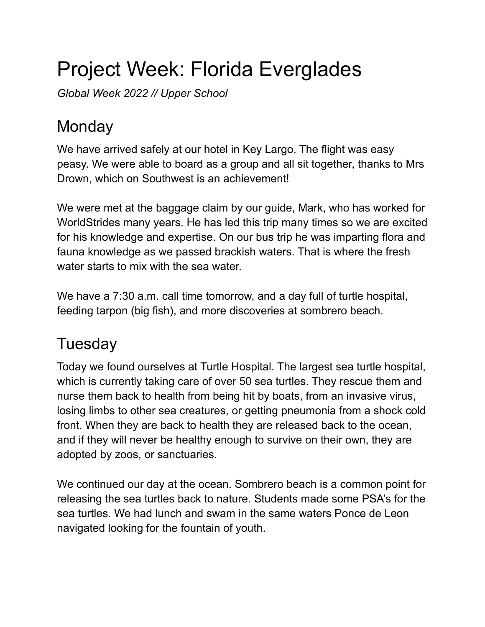# Project Week: Florida Everglades

*Global Week 2022 // Upper School*

### **Monday**

We have arrived safely at our hotel in Key Largo. The flight was easy peasy. We were able to board as a group and all sit together, thanks to Mrs Drown, which on Southwest is an achievement!

We were met at the baggage claim by our guide, Mark, who has worked for WorldStrides many years. He has led this trip many times so we are excited for his knowledge and expertise. On our bus trip he was imparting flora and fauna knowledge as we passed brackish waters. That is where the fresh water starts to mix with the sea water.

We have a 7:30 a.m. call time tomorrow, and a day full of turtle hospital, feeding tarpon (big fish), and more discoveries at sombrero beach.

## **Tuesday**

Today we found ourselves at Turtle Hospital. The largest sea turtle hospital, which is currently taking care of over 50 sea turtles. They rescue them and nurse them back to health from being hit by boats, from an invasive virus, losing limbs to other sea creatures, or getting pneumonia from a shock cold front. When they are back to health they are released back to the ocean, and if they will never be healthy enough to survive on their own, they are adopted by zoos, or sanctuaries.

We continued our day at the ocean. Sombrero beach is a common point for releasing the sea turtles back to nature. Students made some PSA's for the sea turtles. We had lunch and swam in the same waters Ponce de Leon navigated looking for the fountain of youth.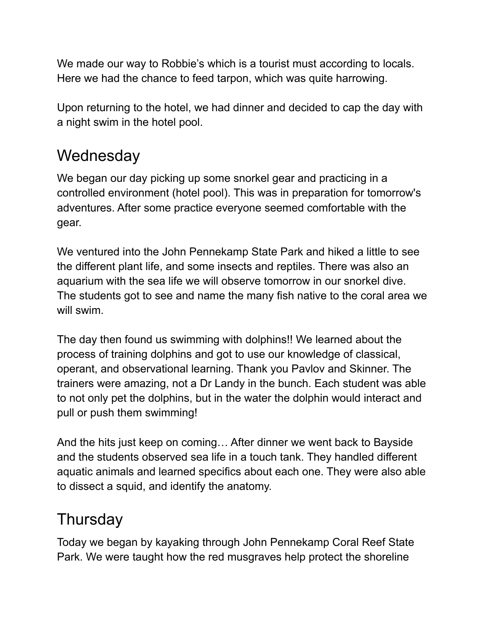We made our way to Robbie's which is a tourist must according to locals. Here we had the chance to feed tarpon, which was quite harrowing.

Upon returning to the hotel, we had dinner and decided to cap the day with a night swim in the hotel pool.

#### **Wednesday**

We began our day picking up some snorkel gear and practicing in a controlled environment (hotel pool). This was in preparation for tomorrow's adventures. After some practice everyone seemed comfortable with the gear.

We ventured into the John Pennekamp State Park and hiked a little to see the different plant life, and some insects and reptiles. There was also an aquarium with the sea life we will observe tomorrow in our snorkel dive. The students got to see and name the many fish native to the coral area we will swim.

The day then found us swimming with dolphins!! We learned about the process of training dolphins and got to use our knowledge of classical, operant, and observational learning. Thank you Pavlov and Skinner. The trainers were amazing, not a Dr Landy in the bunch. Each student was able to not only pet the dolphins, but in the water the dolphin would interact and pull or push them swimming!

And the hits just keep on coming… After dinner we went back to Bayside and the students observed sea life in a touch tank. They handled different aquatic animals and learned specifics about each one. They were also able to dissect a squid, and identify the anatomy.

#### **Thursday**

Today we began by kayaking through John Pennekamp Coral Reef State Park. We were taught how the red musgraves help protect the shoreline